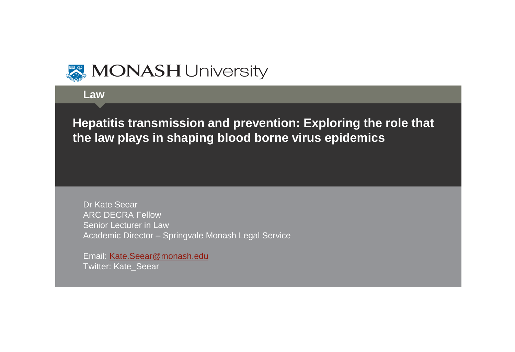

**Law**

ľ **Hepatitis transmission and prevention: Exploring the role that the law plays in shaping blood borne virus epidemics** 

Dr Kate Seear ARC DECRA Fellow Senior Lecturer in Law Academic Director – Springvale Monash Legal Service

Email: [Kate.Seear@monash.edu](mailto:Kate.Seear@monash.edu) Twitter: Kate\_Seear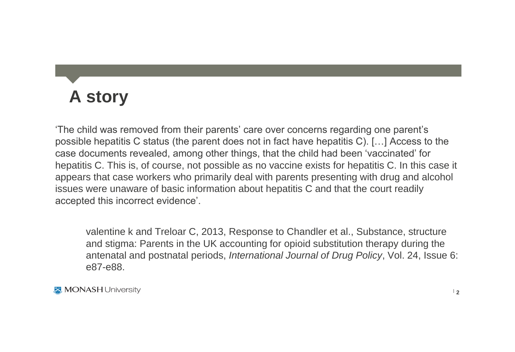## **A story**

'The child was removed from their parents' care over concerns regarding one parent's possible hepatitis C status (the parent does not in fact have hepatitis C). […] Access to the case documents revealed, among other things, that the child had been 'vaccinated' for hepatitis C. This is, of course, not possible as no vaccine exists for hepatitis C. In this case it appears that case workers who primarily deal with parents presenting with drug and alcohol issues were unaware of basic information about hepatitis C and that the court readily accepted this incorrect evidence'.

valentine k and Treloar C, 2013, Response to Chandler et al., Substance, structure and stigma: Parents in the UK accounting for opioid substitution therapy during the antenatal and postnatal periods, *International Journal of Drug Policy*, Vol. 24, Issue 6: e87-e88.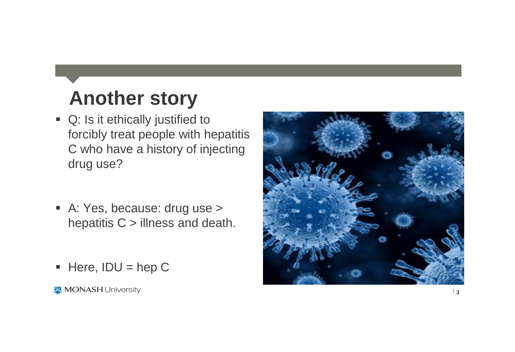# **Another story**

- Q: Is it ethically justified to forcibly treat people with hepatitis C who have a history of injecting drug use?
- A: Yes, because: drug use > hepatitis  $C >$  illness and death.
- $Here, IDU = hep C$

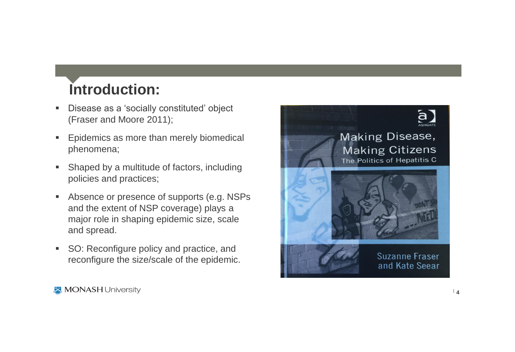#### **Introduction:**

- **Disease as a 'socially constituted' object** (Fraser and Moore 2011);
- Epidemics as more than merely biomedical phenomena;
- Shaped by a multitude of factors, including policies and practices;
- Absence or presence of supports (e.g. NSPs) and the extent of NSP coverage) plays a major role in shaping epidemic size, scale and spread.
- SO: Reconfigure policy and practice, and reconfigure the size/scale of the epidemic.

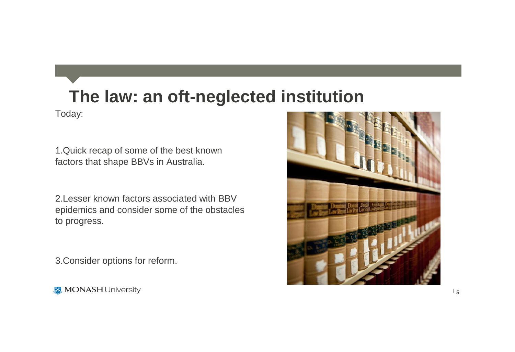### **The law: an oft-neglected institution**

Today:

1.Quick recap of some of the best known factors that shape BBVs in Australia.

2.Lesser known factors associated with BBV epidemics and consider some of the obstacles to progress.

3.Consider options for reform.

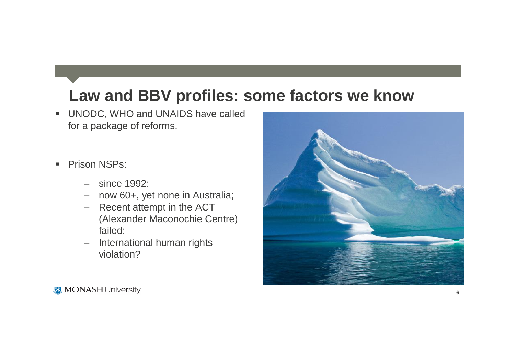#### **Law and BBV profiles: some factors we know**

- **UNODC, WHO and UNAIDS have called** for a package of reforms.
- **Prison NSPs:** 
	- since 1992;
	- now 60+, yet none in Australia;
	- Recent attempt in the ACT (Alexander Maconochie Centre) failed;
	- International human rights violation?

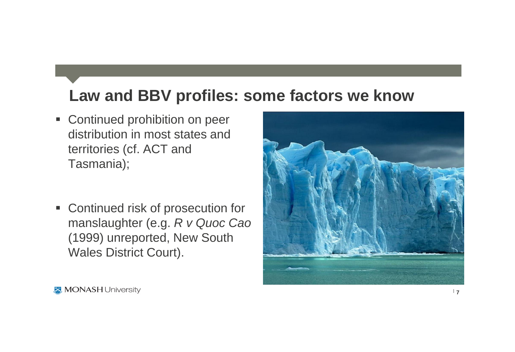#### **Law and BBV profiles: some factors we know**

- **Continued prohibition on peer** distribution in most states and territories (cf. ACT and Tasmania);
- Continued risk of prosecution for manslaughter (e.g. *R v Quoc Cao*  (1999) unreported, New South Wales District Court).

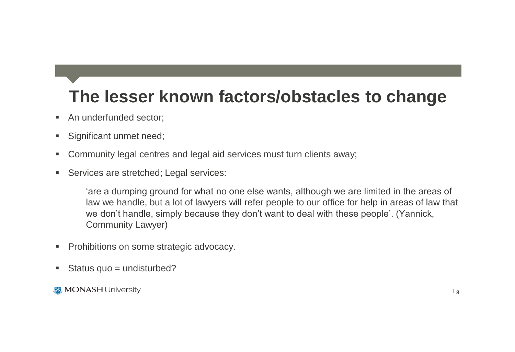## **The lesser known factors/obstacles to change**

- An underfunded sector:
- **Significant unmet need;**
- Community legal centres and legal aid services must turn clients away;
- **Services are stretched; Legal services:**

'are a dumping ground for what no one else wants, although we are limited in the areas of law we handle, but a lot of lawyers will refer people to our office for help in areas of law that we don't handle, simply because they don't want to deal with these people'. (Yannick, Community Lawyer)

- **Prohibitions on some strategic advocacy.**
- Status quo  $=$  undisturbed?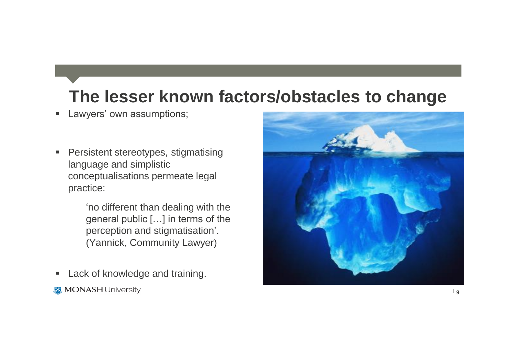## **The lesser known factors/obstacles to change**

- **Lawyers' own assumptions;**
- **Persistent stereotypes, stigmatising** language and simplistic conceptualisations permeate legal practice:

'no different than dealing with the general public […] in terms of the perception and stigmatisation'. (Yannick, Community Lawyer)

- **Lack of knowledge and training.**
- **MONASH University**

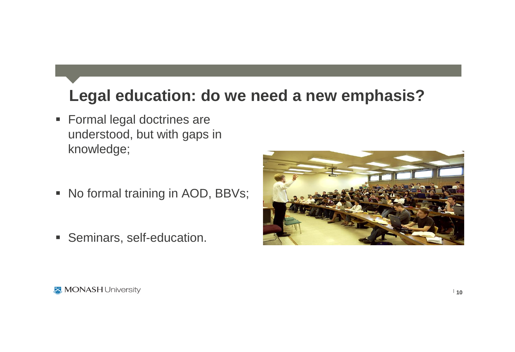#### **Legal education: do we need a new emphasis?**

- **Formal legal doctrines are** understood, but with gaps in knowledge;
- No formal training in AOD, BBVs;
- Seminars, self-education.

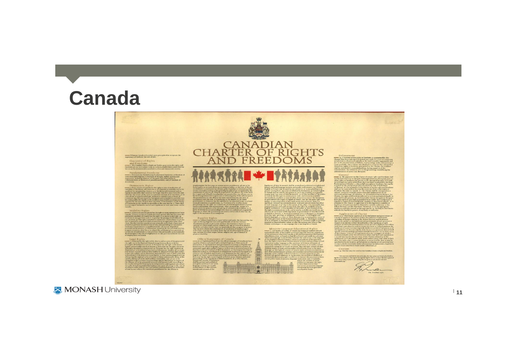## **Canada**

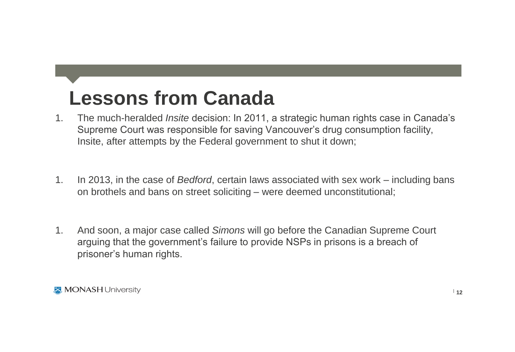# **Lessons from Canada**

- 1. The much-heralded *Insite* decision: In 2011, a strategic human rights case in Canada's Supreme Court was responsible for saving Vancouver's drug consumption facility, Insite, after attempts by the Federal government to shut it down;
- 1. In 2013, in the case of *Bedford*, certain laws associated with sex work including bans on brothels and bans on street soliciting – were deemed unconstitutional;
- 1. And soon, a major case called *Simons* will go before the Canadian Supreme Court arguing that the government's failure to provide NSPs in prisons is a breach of prisoner's human rights.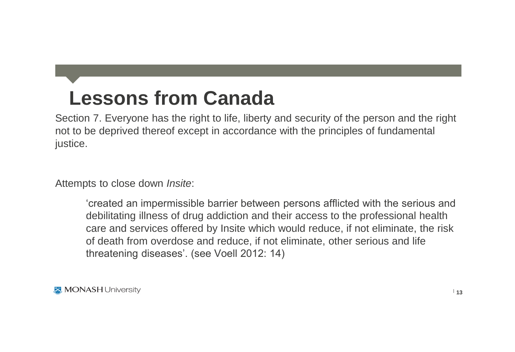# **Lessons from Canada**

Section 7. Everyone has the right to life, liberty and security of the person and the right not to be deprived thereof except in accordance with the principles of fundamental justice.

Attempts to close down *Insite*:

'created an impermissible barrier between persons afflicted with the serious and debilitating illness of drug addiction and their access to the professional health care and services offered by Insite which would reduce, if not eliminate, the risk of death from overdose and reduce, if not eliminate, other serious and life threatening diseases'. (see Voell 2012: 14)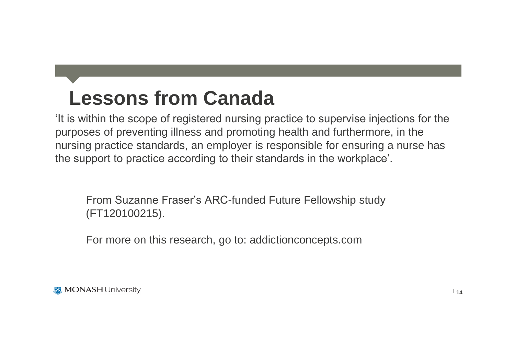# **Lessons from Canada**

'It is within the scope of registered nursing practice to supervise injections for the purposes of preventing illness and promoting health and furthermore, in the nursing practice standards, an employer is responsible for ensuring a nurse has the support to practice according to their standards in the workplace'.

From Suzanne Fraser's ARC-funded Future Fellowship study (FT120100215).

For more on this research, go to: addictionconcepts.com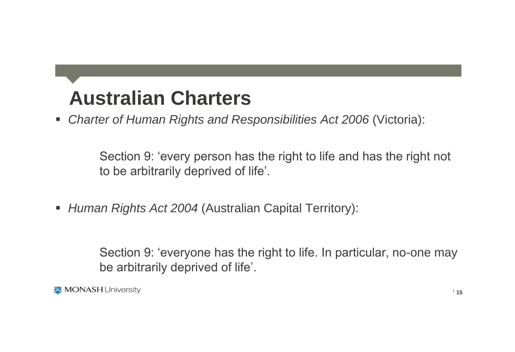# **Australian Charters**

*Charter of Human Rights and Responsibilities Act 2006* (Victoria):

Section 9: 'every person has the right to life and has the right not to be arbitrarily deprived of life'.

*Human Rights Act 2004* (Australian Capital Territory):

Section 9: 'everyone has the right to life. In particular, no-one may be arbitrarily deprived of life'.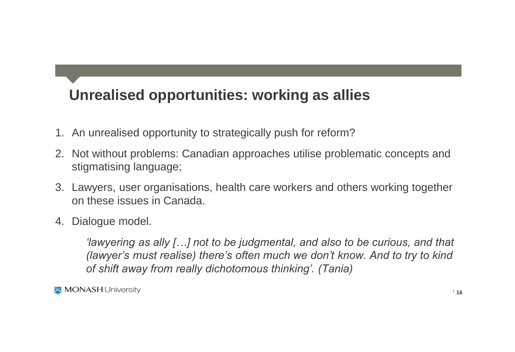#### **Unrealised opportunities: working as allies**

- 1. An unrealised opportunity to strategically push for reform?
- 2. Not without problems: Canadian approaches utilise problematic concepts and stigmatising language;
- 3. Lawyers, user organisations, health care workers and others working together on these issues in Canada.
- 4. Dialogue model.

*'lawyering as ally […] not to be judgmental, and also to be curious, and that (lawyer's must realise) there's often much we don't know. And to try to kind of shift away from really dichotomous thinking'. (Tania)*